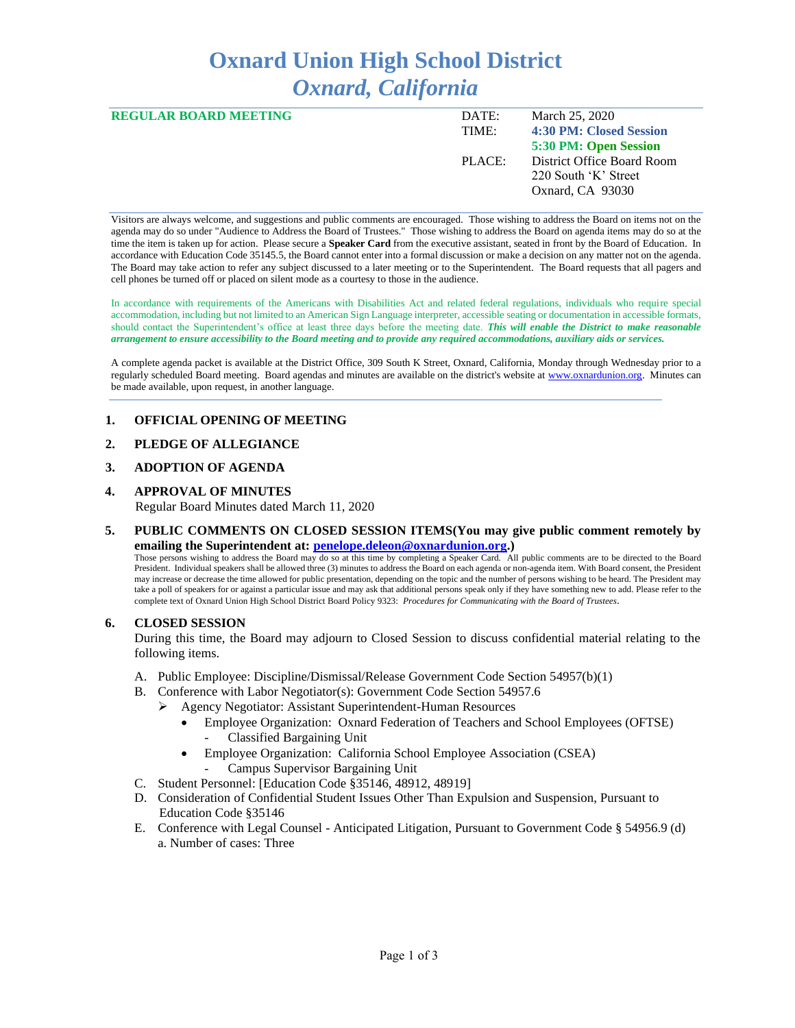# **Oxnard Union High School District** *Oxnard, California*

| <b>REGULAR BOARD MEETING</b> | DATE:  | March 25, 2020             |
|------------------------------|--------|----------------------------|
|                              | TIME:  | 4:30 PM: Closed Session    |
|                              |        | 5:30 PM: Open Session      |
|                              | PLACE: | District Office Board Room |
|                              |        | 220 South 'K' Street       |
|                              |        | Oxnard, CA 93030           |
|                              |        |                            |

Visitors are always welcome, and suggestions and public comments are encouraged. Those wishing to address the Board on items not on the agenda may do so under "Audience to Address the Board of Trustees." Those wishing to address the Board on agenda items may do so at the time the item is taken up for action. Please secure a **Speaker Card** from the executive assistant, seated in front by the Board of Education. In accordance with Education Code 35145.5, the Board cannot enter into a formal discussion or make a decision on any matter not on the agenda. The Board may take action to refer any subject discussed to a later meeting or to the Superintendent. The Board requests that all pagers and cell phones be turned off or placed on silent mode as a courtesy to those in the audience.

In accordance with requirements of the Americans with Disabilities Act and related federal regulations, individuals who require special accommodation, including but not limited to an American Sign Language interpreter, accessible seating or documentation in accessible formats, should contact the Superintendent's office at least three days before the meeting date. *This will enable the District to make reasonable arrangement to ensure accessibility to the Board meeting and to provide any required accommodations, auxiliary aids or services.* 

A complete agenda packet is available at the District Office, 309 South K Street, Oxnard, California, Monday through Wednesday prior to a regularly scheduled Board meeting. Board agendas and minutes are available on the district's website a[t www.ox](http://www.o/)nardunion.org.Minutes can be made available, upon request, in another language.

## **1. OFFICIAL OPENING OF MEETING**

# **2. PLEDGE OF ALLEGIANCE**

# **3. ADOPTION OF AGENDA**

# **4. APPROVAL OF MINUTES** Regular Board Minutes dated March 11, 2020

#### **5. PUBLIC COMMENTS ON CLOSED SESSION ITEMS(You may give public comment remotely by emailing the Superintendent at: [penelope.deleon@oxnardunion.org.](mailto:penelope.deleon@oxnardunion.org))**

Those persons wishing to address the Board may do so at this time by completing a Speaker Card. All public comments are to be directed to the Board President. Individual speakers shall be allowed three (3) minutes to address the Board on each agenda or non-agenda item. With Board consent, the President may increase or decrease the time allowed for public presentation, depending on the topic and the number of persons wishing to be heard. The President may take a poll of speakers for or against a particular issue and may ask that additional persons speak only if they have something new to add. Please refer to the complete text of Oxnard Union High School District Board Policy 9323: *Procedures for Communicating with the Board of Trustees*.

## **6. CLOSED SESSION**

During this time, the Board may adjourn to Closed Session to discuss confidential material relating to the following items.

- A. Public Employee: Discipline/Dismissal/Release Government Code Section 54957(b)(1)
- B. Conference with Labor Negotiator(s): Government Code Section 54957.6
	- ➢ Agency Negotiator: Assistant Superintendent-Human Resources
		- Employee Organization: Oxnard Federation of Teachers and School Employees (OFTSE) - Classified Bargaining Unit
		- Employee Organization: California School Employee Association (CSEA) - Campus Supervisor Bargaining Unit
- C. Student Personnel: [Education Code §35146, 48912, 48919]
- D. Consideration of Confidential Student Issues Other Than Expulsion and Suspension, Pursuant to Education Code §35146
- E. Conference with Legal Counsel Anticipated Litigation, Pursuant to Government Code § 54956.9 (d) a. Number of cases: Three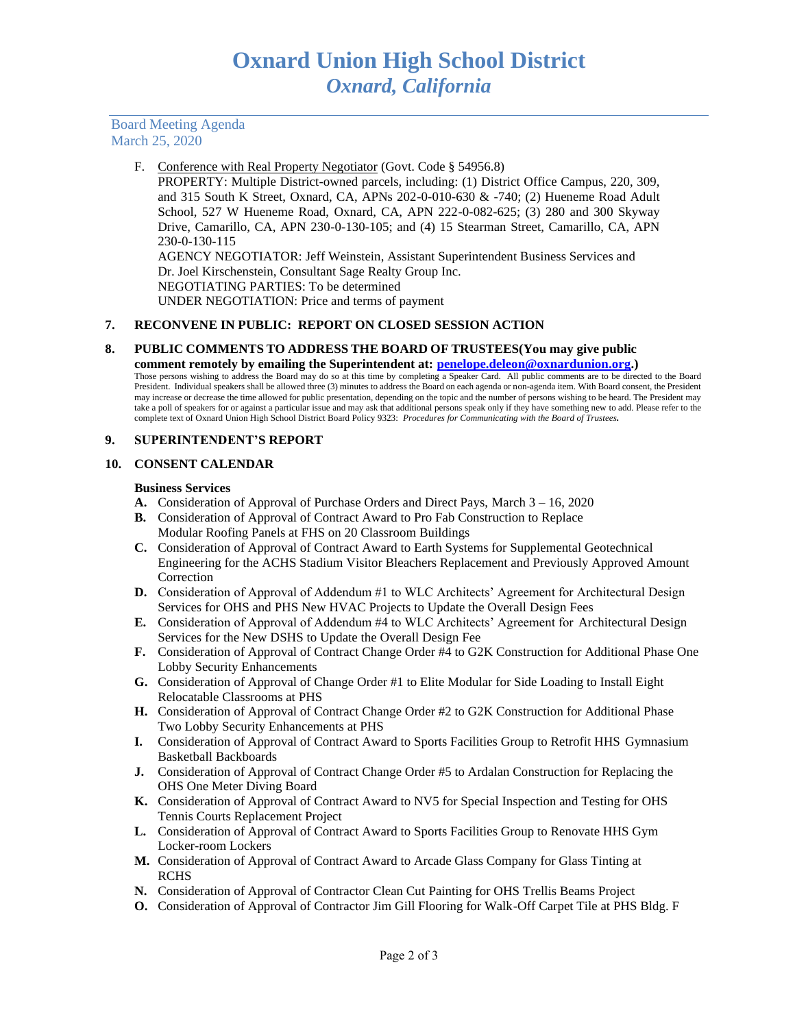Board Meeting Agenda March 25, 2020

# F. Conference with Real Property Negotiator (Govt. Code § 54956.8)

PROPERTY: Multiple District-owned parcels, including: (1) District Office Campus, 220, 309, and 315 South K Street, Oxnard, CA, APNs 202-0-010-630 & -740; (2) Hueneme Road Adult School, 527 W Hueneme Road, Oxnard, CA, APN 222-0-082-625; (3) 280 and 300 Skyway Drive, Camarillo, CA, APN 230-0-130-105; and (4) 15 Stearman Street, Camarillo, CA, APN 230-0-130-115

AGENCY NEGOTIATOR: Jeff Weinstein, Assistant Superintendent Business Services and Dr. Joel Kirschenstein, Consultant Sage Realty Group Inc. NEGOTIATING PARTIES: To be determined UNDER NEGOTIATION: Price and terms of payment

# **7. RECONVENE IN PUBLIC: REPORT ON CLOSED SESSION ACTION**

#### **8. PUBLIC COMMENTS TO ADDRESS THE BOARD OF TRUSTEES(You may give public comment remotely by emailing the Superintendent at: [penelope.deleon@oxnardunion.org.](mailto:penelope.deleon@oxnardunion.org))**

Those persons wishing to address the Board may do so at this time by completing a Speaker Card. All public comments are to be directed to the Board President. Individual speakers shall be allowed three (3) minutes to address the Board on each agenda or non-agenda item. With Board consent, the President may increase or decrease the time allowed for public presentation, depending on the topic and the number of persons wishing to be heard. The President may take a poll of speakers for or against a particular issue and may ask that additional persons speak only if they have something new to add. Please refer to the complete text of Oxnard Union High School District Board Policy 9323: *Procedures for Communicating with the Board of Trustees.*

## **9. SUPERINTENDENT'S REPORT**

## **10. CONSENT CALENDAR**

#### **Business Services**

- **A.** Consideration of Approval of Purchase Orders and Direct Pays, March 3 16, 2020
- **B.** Consideration of Approval of Contract Award to Pro Fab Construction to Replace Modular Roofing Panels at FHS on 20 Classroom Buildings
- **C.** Consideration of Approval of Contract Award to Earth Systems for Supplemental Geotechnical Engineering for the ACHS Stadium Visitor Bleachers Replacement and Previously Approved Amount Correction
- **D.** Consideration of Approval of Addendum #1 to WLC Architects' Agreement for Architectural Design Services for OHS and PHS New HVAC Projects to Update the Overall Design Fees
- **E.** Consideration of Approval of Addendum #4 to WLC Architects' Agreement for Architectural Design Services for the New DSHS to Update the Overall Design Fee
- **F.** Consideration of Approval of Contract Change Order #4 to G2K Construction for Additional Phase One Lobby Security Enhancements
- **G.** Consideration of Approval of Change Order #1 to Elite Modular for Side Loading to Install Eight Relocatable Classrooms at PHS
- **H.** Consideration of Approval of Contract Change Order #2 to G2K Construction for Additional Phase Two Lobby Security Enhancements at PHS
- **I.** Consideration of Approval of Contract Award to Sports Facilities Group to Retrofit HHS Gymnasium Basketball Backboards
- **J.** Consideration of Approval of Contract Change Order #5 to Ardalan Construction for Replacing the OHS One Meter Diving Board
- **K.** Consideration of Approval of Contract Award to NV5 for Special Inspection and Testing for OHS Tennis Courts Replacement Project
- **L.** Consideration of Approval of Contract Award to Sports Facilities Group to Renovate HHS Gym Locker-room Lockers
- **M.** Consideration of Approval of Contract Award to Arcade Glass Company for Glass Tinting at **RCHS**
- **N.** Consideration of Approval of Contractor Clean Cut Painting for OHS Trellis Beams Project
- **O.** Consideration of Approval of Contractor Jim Gill Flooring for Walk-Off Carpet Tile at PHS Bldg. F